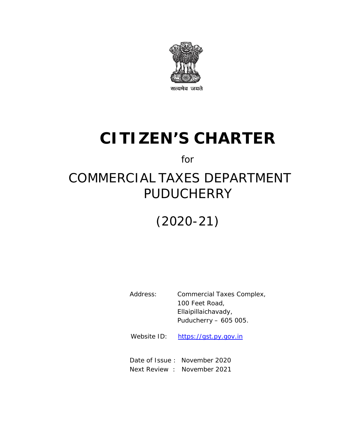

# **CITIZEN'S CHARTER**

for

# COMMERCIAL TAXES DEPARTMENT PUDUCHERRY

# (2020-21)

Address: Commercial Taxes Complex, 100 Feet Road, Ellaipillaichavady, Puducherry – 605 005.

Website ID: https://gst.py.gov.in

Date of Issue : November 2020 Next Review : November 2021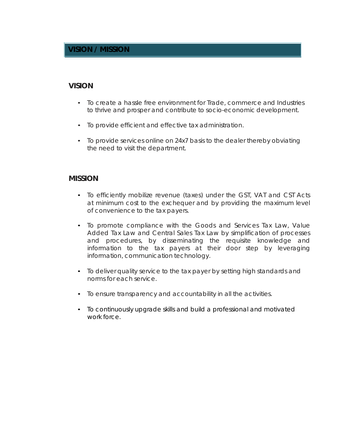### **VISION / MISSION**

#### **VISION**

- To create a hassle free environment for Trade, commerce and Industries to thrive and prosper and contribute to socio-economic development.
- To provide efficient and effective tax administration.
- To provide services online on 24x7 basis to the dealer thereby obviating the need to visit the department.

#### **MISSION**

- To efficiently mobilize revenue (taxes) under the GST, VAT and CST Acts at minimum cost to the exchequer and by providing the maximum level of convenience to the tax payers.
- To promote compliance with the Goods and Services Tax Law, Value Added Tax Law and Central Sales Tax Law by simplification of processes and procedures, by disseminating the requisite knowledge and information to the tax payers at their door step by leveraging information, communication technology.
- To deliver quality service to the tax payer by setting high standards and norms for each service.
- To ensure transparency and accountability in all the activities.
- To continuously upgrade skills and build a professional and motivated work force.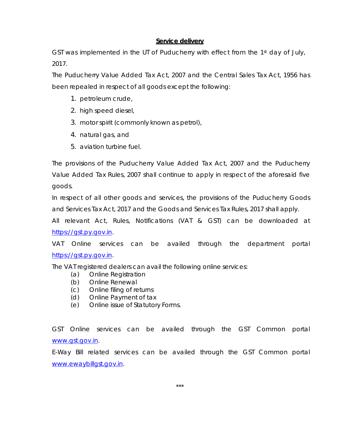#### **Service delivery**

GST was implemented in the UT of Puducherry with effect from the 1st day of July, 2017.

The Puducherry Value Added Tax Act, 2007 and the Central Sales Tax Act, 1956 has been repealed in respect of all goods except the following:

- 1. petroleum crude,
- 2. high speed diesel,
- 3. motor spirit (commonly known as petrol),
- 4. natural gas, and
- 5. aviation turbine fuel.

The provisions of the Puducherry Value Added Tax Act, 2007 and the Puducherry Value Added Tax Rules, 2007 shall continue to apply in respect of the aforesaid five goods.

In respect of all other goods and services, the provisions of the Puducherry Goods and Services Tax Act, 2017 and the Goods and Services Tax Rules, 2017 shall apply.

All relevant Act, Rules, Notifications (VAT & GST) can be downloaded at https://gst.py.gov.in.

VAT Online services can be availed through the department portal https://gst.py.gov.in.

The VAT registered dealers can avail the following online services:

- (a) Online Registration
- (b) Online Renewal
- (c) Online filing of returns
- (d) Online Payment of tax
- (e) Online issue of Statutory Forms.

GST Online services can be availed through the GST Common portal www.gst.gov.in.

E-Way Bill related services can be availed through the GST Common portal www.ewaybillgst.gov.in.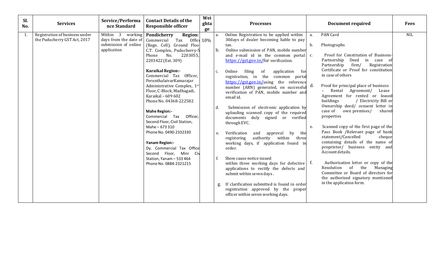| Sl.<br>No. | <b>Services</b>                                                | Service/Performa<br>nce Standard                                                                    | <b>Contact Details of the</b><br><b>Responsible officer</b>                                                                                                                                                                                                                                                                                                                                                                                                                                                                                                                                              | Wei<br>ghta<br>ge |                                                   | <b>Processes</b>                                                                                                                                                                                                                                                                                                                                                                                                                                                                                                                                                                                                                                                                                                                                                                                                                                                                                                                                                                                                                        |                                       | <b>Document required</b>                                                                                                                                                                                                                                                                                                                                                                                                                                                                                                                                                                                                                                                                                                                                                                                                                    | <b>Fees</b> |
|------------|----------------------------------------------------------------|-----------------------------------------------------------------------------------------------------|----------------------------------------------------------------------------------------------------------------------------------------------------------------------------------------------------------------------------------------------------------------------------------------------------------------------------------------------------------------------------------------------------------------------------------------------------------------------------------------------------------------------------------------------------------------------------------------------------------|-------------------|---------------------------------------------------|-----------------------------------------------------------------------------------------------------------------------------------------------------------------------------------------------------------------------------------------------------------------------------------------------------------------------------------------------------------------------------------------------------------------------------------------------------------------------------------------------------------------------------------------------------------------------------------------------------------------------------------------------------------------------------------------------------------------------------------------------------------------------------------------------------------------------------------------------------------------------------------------------------------------------------------------------------------------------------------------------------------------------------------------|---------------------------------------|---------------------------------------------------------------------------------------------------------------------------------------------------------------------------------------------------------------------------------------------------------------------------------------------------------------------------------------------------------------------------------------------------------------------------------------------------------------------------------------------------------------------------------------------------------------------------------------------------------------------------------------------------------------------------------------------------------------------------------------------------------------------------------------------------------------------------------------------|-------------|
| 1.         | Registration of business under<br>the Puducherry GST Act, 2017 | Within 3 working <b>Pondicherry</b><br>days from the date of<br>submission of online<br>application | Region:<br>Commercial<br>Tax<br>(Regn. Cell), Ground Floo<br>C.T. Complex, Puducherry-5<br>Phone No.<br>2203055,<br>2203422 (Ext. 309)<br><b>Karaikal Region:-</b><br>Commercial Tax Officer,<br>PerunthalaivarKamarajar<br>Administrative Complex, 1st<br>Floor, C-Block, Madhagadi,<br>Karaikal - 609 602<br>Phone No. 04368-222582<br><b>Mahe Region:-</b><br>Commercial Tax Officer,<br>Second Floor, Civil Station,<br>Mahe-673 310<br>Phone No. 0490-2332330<br><b>Yanam Region:-</b><br>Dy. Commercial Tax Office<br>Second Floor, Mini Civ<br>Station, Yanam - 533 464<br>Phone No. 0884-2321215 | Offic 10%         | a.<br>b.<br>$C_{\bullet}$<br>d.<br>e.<br>f.<br>g. | Online Registration to be applied within<br>30days of dealer becoming liable to pay<br>tax.<br>Online submission of PAN, mobile number<br>and e-mail id in the common portal<br>https://gst.gov.in/for verification.<br>filing<br>Online<br>of<br>application<br>for<br>registration, in the common portal<br>https://gst.gov.in/using the reference<br>number (ARN) generated, on successful<br>verification of PAN, mobile number and<br>email id.<br>Submission of electronic application by<br>uploading scanned copy of the required<br>documents duly signed or verified<br>through EVC.<br>Verification<br>approval<br>by<br>the<br>and<br>within<br>authority<br>three<br>registering<br>working days, if application found in<br>order.<br>Show cause notice issued<br>within three working days for defective $\int f$ .<br>applications to rectify the defects and<br>submit within seven days.<br>If clarification submitted is found in order<br>registration approved by the proper<br>officer within seven working days. | a.<br>b.<br>$C_{\bullet}$<br>d.<br>e. | PAN Card<br>Photographs<br>Proof for Constitution of Business-<br>Partnership<br>Deed in case of<br>Partnership<br>firm/<br>Registration<br>Certificate or Proof for constitution<br>in case of others<br>Proof for principal place of business<br>- Rental Agreement/<br>Lease<br>Agreement for rented or leased<br>buildings<br>/ Electricity Bill or<br>Ownership deed/ consent letter in<br>case of own premises/<br>shared<br>properties<br>Scanned copy of the first page of the<br>Pass Book /Relevant page of bank<br>statement/Cancelled<br>cheque<br>containing details of the name of<br>proprietor/ business entity and<br>Account details.<br>Authorisation letter or copy of the<br>the<br>Resolution of<br>Managing<br>Committee or Board of directors for<br>the authorized signatory mentioned<br>in the application form. | <b>NIL</b>  |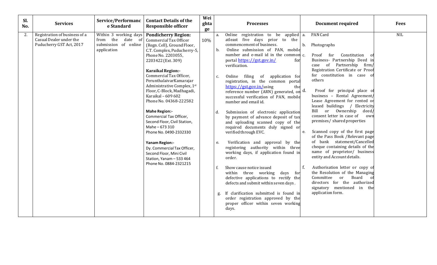| Wei<br>Service/Performanc<br><b>Contact Details of the</b><br>Sl.<br><b>Services</b><br><b>Document required</b><br>ghta<br><b>Processes</b><br>e Standard<br><b>Responsible officer</b><br>No.<br>ge                                                                                                                                                                                                                                                                                                                                                                                                                                                                                                                                                                                                                                                                                                                                                                                                                                                                                                                                                                                                                                                                                                                                                                                                                                                                                                                                                                                                                                                                                                                                                                                                                                                                                                                                                                                                                                                                                                                                                                                                                                                                                                                                                                                                                                                                                                                                                                                                                                                                                                                                                                                                                        | <b>Fees</b> |
|------------------------------------------------------------------------------------------------------------------------------------------------------------------------------------------------------------------------------------------------------------------------------------------------------------------------------------------------------------------------------------------------------------------------------------------------------------------------------------------------------------------------------------------------------------------------------------------------------------------------------------------------------------------------------------------------------------------------------------------------------------------------------------------------------------------------------------------------------------------------------------------------------------------------------------------------------------------------------------------------------------------------------------------------------------------------------------------------------------------------------------------------------------------------------------------------------------------------------------------------------------------------------------------------------------------------------------------------------------------------------------------------------------------------------------------------------------------------------------------------------------------------------------------------------------------------------------------------------------------------------------------------------------------------------------------------------------------------------------------------------------------------------------------------------------------------------------------------------------------------------------------------------------------------------------------------------------------------------------------------------------------------------------------------------------------------------------------------------------------------------------------------------------------------------------------------------------------------------------------------------------------------------------------------------------------------------------------------------------------------------------------------------------------------------------------------------------------------------------------------------------------------------------------------------------------------------------------------------------------------------------------------------------------------------------------------------------------------------------------------------------------------------------------------------------------------------|-------------|
| PAN Card<br>2.<br>Registration of business of a<br>Within 3 working days   Pondicherry Region:<br>Online registration to be applied a.<br>a.<br>Casual Dealer under the<br>from the<br>date of<br>atleast five days prior to the<br>Commercial Tax Officer<br>10%<br>submission of online<br>Puducherry GST Act, 2017<br>commencement of business.<br>$b_{1}$<br>Photographs<br>(Regn. Cell), Ground Floor,<br>Online submission of PAN, mobile<br>application<br>b.<br>C.T. Complex, Puducherry-5,<br>number and e-mail id in the common c.<br>Proof for<br>Constitution of<br>Phone No. 2203055,<br>Business- Partnership Deed in<br>portal https://gst.gov.in/<br>2203422 (Ext. 309)<br>for<br>of Partnership firm/<br>verification.<br>case<br>Registration Certificate or Proof<br><b>Karaikal Region:-</b><br>for constitution in case of<br>Commercial Tax Officer,<br>Online filing<br>of application for<br>$C_{\bullet}$<br>others<br>PerunthalaivarKamarajar<br>registration, in the common portal<br>Administrative Complex, 1st<br>https://gst.gov.in/using<br>the<br>Proof for principal place of<br>Floor, C-Block, Madhagadi,<br>reference number (ARN) generated, on d.<br>business - Rental Agreement/<br>Karaikal - 609 602<br>successful verification of PAN, mobile<br>Lease Agreement for rented or<br>Phone No. 04368-222582<br>number and email id.<br>leased buildings<br>Electricity<br>or Ownership<br>Bill<br>deed/<br><b>Mahe Region:-</b><br>Submission of electronic application<br>d.<br>consent letter in case of<br>own<br>Commercial Tax Officer,<br>by payment of advance deposit of tax<br>premises/ shared properties<br>Second Floor, Civil Station,<br>and uploading scanned copy of the<br>Mahe-673 310<br>required documents duly signed or<br>Scanned copy of the first page<br>verified through EVC.<br>e.<br>Phone No. 0490-2332330<br>of the Pass Book /Relevant page<br>of bank statement/Cancelled<br>Verification and approval by the<br><b>Yanam Region:-</b><br>$e_{i}$<br>cheque containing details of the<br>registering authority within three<br>Dy. Commercial Tax Officer,<br>name of proprietor/ business<br>working days, if application found in<br>Second Floor, Mini Civil<br>entity and Account details.<br>order.<br>Station, Yanam - 533 464<br>Phone No. 0884-2321215<br>Authorisation letter or copy of<br>f.<br>f.<br>Show cause notice issued<br>the Resolution of the Managing<br>within three working<br>days<br>for<br>Board<br>defective applications to rectify the<br>Committee<br>or<br>directors for the authorized<br>defects and submit within seven days.<br>signatory mentioned in the<br>If clarification submitted is found in<br>application form.<br>order registration approved by the<br>proper officer within seven working<br>days. | <b>NIL</b>  |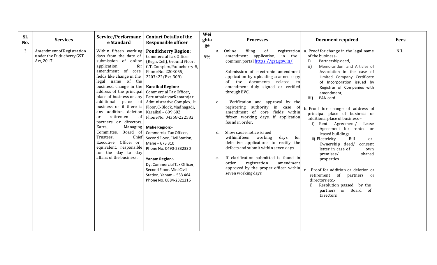| Sl.<br>No. | <b>Services</b>                                                    | Service/Performanc<br>e Standard                                                                                                                                                                                                                                                                                                                                                                                                                                                                                                                       | <b>Contact Details of the</b><br><b>Responsible officer</b>                                                                                                                                                                                                                                                                                                                                                                                                                                                                                                                                                                             | Wei<br>ghta<br>ge |                      | <b>Processes</b>                                                                                                                                                                                                                                                                                                                                                                                                                                                                                                                                                                                                                                                                                                                                              | <b>Document required</b>                                                                                                                                                                                                                                                                                                                                                                                                                                                                                                                                                                                                                                                                                                                                                       | <b>Fees</b> |
|------------|--------------------------------------------------------------------|--------------------------------------------------------------------------------------------------------------------------------------------------------------------------------------------------------------------------------------------------------------------------------------------------------------------------------------------------------------------------------------------------------------------------------------------------------------------------------------------------------------------------------------------------------|-----------------------------------------------------------------------------------------------------------------------------------------------------------------------------------------------------------------------------------------------------------------------------------------------------------------------------------------------------------------------------------------------------------------------------------------------------------------------------------------------------------------------------------------------------------------------------------------------------------------------------------------|-------------------|----------------------|---------------------------------------------------------------------------------------------------------------------------------------------------------------------------------------------------------------------------------------------------------------------------------------------------------------------------------------------------------------------------------------------------------------------------------------------------------------------------------------------------------------------------------------------------------------------------------------------------------------------------------------------------------------------------------------------------------------------------------------------------------------|--------------------------------------------------------------------------------------------------------------------------------------------------------------------------------------------------------------------------------------------------------------------------------------------------------------------------------------------------------------------------------------------------------------------------------------------------------------------------------------------------------------------------------------------------------------------------------------------------------------------------------------------------------------------------------------------------------------------------------------------------------------------------------|-------------|
| 3.         | Amendment of Registration<br>under the Puducherry GST<br>Act, 2017 | Within fifteen working<br>days from the date of<br>submission of online<br>application<br>for<br>amendment of core<br>fields like change in the<br>legal name of the<br>business, change in the   Karaikal Region:-<br>address of the principal<br>additional place of<br>any addition, deletion   Karaikal - 609 602<br>retirement<br>- of<br>or<br>partners or directors,<br>Karta,<br>Managing<br>Board of<br>Committee,<br>Chief<br>Trustees,<br>Executive Officer or<br>equivalent, responsible<br>for the day to day<br>affairs of the business. | <b>Pondicherry Region:</b><br>Commercial Tax Officer<br>(Regn. Cell), Ground Floor,<br>C.T. Complex, Puducherry-5,<br>Phone No. 2203055,<br>2203422 (Ext. 309)<br>Commercial Tax Officer,<br>place of business or any   PerunthalaivarKamarajar<br>Administrative Complex, 1st<br>business or if there is   Floor, C-Block, Madhagadi,<br>Phone No. 04368-222582<br><b>Mahe Region:-</b><br>Commercial Tax Officer,<br>Second Floor, Civil Station,<br>Mahe-673 310<br>Phone No. 0490-2332330<br><b>Yanam Region:-</b><br>Dy. Commercial Tax Officer,<br>Second Floor, Mini Civil<br>Station, Yanam - 533 464<br>Phone No. 0884-2321215 | 5%                | a.<br>c.<br>d.<br>e. | Online<br>filing<br>of<br>registration<br>amendment application, in the<br>common portal https://gst.gov.in/<br>Submission of electronic amendment<br>application by uploading scanned copy<br>of the documents related<br>to<br>amendment duly signed or verified<br>through EVC.<br>Verification and approval by the<br>registering authority in case of<br>amendment of core fields within<br>fifteen working days, if application<br>found in order.<br>Show cause notice issued<br>withinfifteen working<br>days<br>for<br>defective applications to rectify the<br>defects and submit within seven days.<br>If clarification submitted is found in<br>registration<br>amendment<br>order<br>approved by the proper officer within<br>seven working days | a. Proof for change in the legal name<br>of the business-<br>Partnership deed,<br>i)<br>ii)<br>Memorandum and Articles of<br>Association in the case of<br>Limited Company Certificate<br>of Incorporation issued by<br>Registrar of Companies with<br>amendment,<br>iii)<br>PAN card<br>b. Proof for change of address of<br>principal place of business or<br>additional place of business -<br>i) Rent Agreement/ Lease<br>Agreement for rented or<br>leased buildings<br>ii) Electricity<br>Bill<br>or<br>Ownership deed/<br>consent<br>letter in case of<br>own<br>premises/<br>shared<br>properties<br>c. Proof for addition or deletion or<br>of partners<br>retirement<br>or<br>directors etc.-<br>Resolution passed by the<br>i)<br>partners or Board of<br>Directors | NIL         |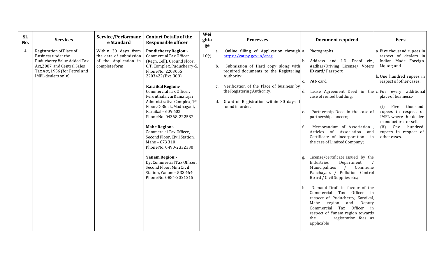| Sl.<br>No. | <b>Services</b>                                                                                                                                                    | Service/Performanc<br>e Standard                                                         | <b>Contact Details of the</b><br><b>Responsible officer</b>                                                                                                                                                                                                                                                                                                                                                                                                                                                                                                                                                                      | Wei<br>ghta<br>ge |                                                                  | <b>Processes</b>                                                                                                                                                                                                                                                                       |                            | <b>Document required</b>                                                                                                                                                                                                                                                                                                                                                                                                                                                                                                                                                                                                                                                                                                                                                                                     | <b>Fees</b>                                                                                                                                                                                                                                                                                                                                     |
|------------|--------------------------------------------------------------------------------------------------------------------------------------------------------------------|------------------------------------------------------------------------------------------|----------------------------------------------------------------------------------------------------------------------------------------------------------------------------------------------------------------------------------------------------------------------------------------------------------------------------------------------------------------------------------------------------------------------------------------------------------------------------------------------------------------------------------------------------------------------------------------------------------------------------------|-------------------|------------------------------------------------------------------|----------------------------------------------------------------------------------------------------------------------------------------------------------------------------------------------------------------------------------------------------------------------------------------|----------------------------|--------------------------------------------------------------------------------------------------------------------------------------------------------------------------------------------------------------------------------------------------------------------------------------------------------------------------------------------------------------------------------------------------------------------------------------------------------------------------------------------------------------------------------------------------------------------------------------------------------------------------------------------------------------------------------------------------------------------------------------------------------------------------------------------------------------|-------------------------------------------------------------------------------------------------------------------------------------------------------------------------------------------------------------------------------------------------------------------------------------------------------------------------------------------------|
| 4.         | Registration of Place of<br>Business under the<br>Puducherry Value Added Tax<br>Act, 2007 and Central Sales<br>Tax Act, 1956 (for Petrol and<br>IMFL dealers only) | Within 30 days from<br>the date of submission<br>of the Application in<br>complete form. | <b>Pondicherry Region:-</b><br>Commercial Tax Officer<br>(Regn. Cell), Ground Floor,<br>C.T. Complex, Puducherry-5,<br>Phone No. 2203055,<br>2203422 (Ext. 309)<br>Karaikal Region:-<br>Commercial Tax Officer,<br>PerunthalaivarKamarajar<br>Administrative Complex, 1st<br>Floor, C-Block, Madhagadi,<br>Karaikal - 609 602<br>Phone No. 04368-222582<br><b>Mahe Region:-</b><br>Commercial Tax Officer,<br>Second Floor, Civil Station,<br>Mahe - 673 310<br>Phone No. 0490-2332330<br><b>Yanam Region:-</b><br>Dy. Commercial Tax Officer,<br>Second Floor, Mini Civil<br>Station, Yanam - 533 464<br>Phone No. 0884-2321215 | 10%               | a.<br>b.<br>Authority.<br>$C_{\bullet}$<br>d.<br>found in order. | Online filling of Application through a. Photographs<br>https://vat.py.gov.in/ereg<br>Submission of Hard copy along with<br>required documents to the Registering<br>Verification of the Place of business by<br>the Registering Authority.<br>Grant of Registration within 30 days if | d.<br>e.<br>f.<br>g.<br>h. | Address and I.D. Proof viz.,<br>Aadhar/Driving License/ Voters<br>ID card/Passport<br>c. PAN card<br>Lease Agreement Deed in the c. For every additional<br>case of rented building;<br>Partnership Deed in the case of<br>partnership concern;<br>Memorandum of Association<br>Articles of Association and<br>Certificate of incorporation<br>$\overline{\mathbf{m}}$<br>the case of Limited Company;<br>License/certificate issued by the<br>Industries<br>Department<br>Municipalities<br>Commune<br>Panchayats / Pollution Control<br>Board / Civil Supplies etc.;<br>Demand Draft in favour of the<br>Commercial Tax Officer<br>respect of Puducherry, Karaikal,<br>Mahe region and Deputy<br>Commercial Tax Officer in<br>respect of Yanam region towards<br>the<br>registration fees as<br>applicable | a. Five thousand rupees in<br>respect of dealers in<br>Indian Made Foreign<br>Liquor; and<br>b. One hundred rupees in<br>respect of other cases.<br>place of business:-<br>Five<br>thousand<br>(i)<br>rupees in respect of<br>IMFL where the dealer<br>manufactures or sells.<br>One<br>(ii)<br>hundred<br>rupees in respect of<br>other cases. |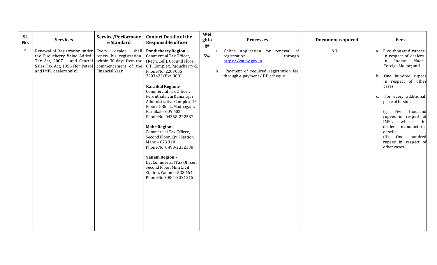| Sl.<br>No. | <b>Services</b>                                                                                                                                       | Service/Performanc<br>e Standard                                     | <b>Contact Details of the</b><br><b>Responsible officer</b>                                                                                                                                                                                                                                                                                                                                                                                                                                                                                                                                                                                                                        | Wei<br>ghta<br>ge | <b>Processes</b>                                                                                                                                                              | <b>Document required</b> | <b>Fees</b>                                                                                                                                                                                                                                                                                                                                                                                               |
|------------|-------------------------------------------------------------------------------------------------------------------------------------------------------|----------------------------------------------------------------------|------------------------------------------------------------------------------------------------------------------------------------------------------------------------------------------------------------------------------------------------------------------------------------------------------------------------------------------------------------------------------------------------------------------------------------------------------------------------------------------------------------------------------------------------------------------------------------------------------------------------------------------------------------------------------------|-------------------|-------------------------------------------------------------------------------------------------------------------------------------------------------------------------------|--------------------------|-----------------------------------------------------------------------------------------------------------------------------------------------------------------------------------------------------------------------------------------------------------------------------------------------------------------------------------------------------------------------------------------------------------|
| 5.         | Renewal of Registration under<br>the Puducherry Value Added<br>Tax Act, 2007 and Central<br>Sales Tax Act, 1956 (for Petrol<br>and IMFL dealers only) | dealer<br>shal<br>Every<br>renew his registration<br>Financial Year. | <b>Pondicherry Region: -</b><br>Commercial Tax Officer,<br>within 30 days from the $ $ (Regn. Cell), Ground Floor,<br>commencement of the C.T. Complex, Puducherry-5,<br>Phone No. 2203055,<br>2203422 (Ext. 309)<br>Karaikal Region:-<br>Commercial Tax Officer,<br>PerunthalaivarKamarajar<br>Administrative Complex, 1st<br>Floor, C-Block, Madhagadi,<br>Karaikal - 609 602<br>Phone No. 04368-222582<br><b>Mahe Region:-</b><br>Commercial Tax Officer,<br>Second Floor, Civil Station,<br>Mahe - 673 310<br>Phone No. 0490-2332330<br><b>Yanam Region:-</b><br>Dy. Commercial Tax Officer,<br>Second Floor, Mini Civil<br>Station, Yanam - 533 464<br>Phone No. 0884-2321215 | 5%                | Online application for renewal of<br>a.<br>through<br>registration<br>https://vat.py.gov.in<br>Payment of required registration fee<br>b.<br>through e-payment / DD / cheque. | NIL                      | Five thousand rupees<br>a.<br>in respect of dealers<br>Indian Made<br>in<br>Foreign Liquor; and<br>One hundred rupees<br>b.<br>in respect of other<br>cases.<br>For every additional<br>c.<br>place of business:-<br>thousand<br>(i)<br>Five<br>rupees in respect of<br><b>IMFL</b><br>where the<br>dealer<br>manufactures<br>or sells.<br>(ii)<br>One<br>hundred<br>rupees in respect of<br>other cases. |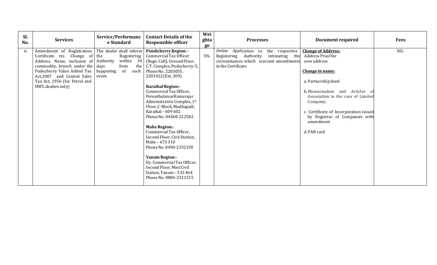| Sl.<br>No. | <b>Services</b>                                                                                                                                                                                                                                               | Service/Performanc<br>e Standard                                                                     | <b>Contact Details of the</b><br><b>Responsible officer</b>                                                                                                                                                                                                                                                                                                                                                                                                                                                                                                                                                                              | Wei<br>ghta<br>ge | <b>Processes</b>                                                                                                                                | <b>Document required</b>                                                                                                                                                                                                                                                                           | <b>Fees</b> |
|------------|---------------------------------------------------------------------------------------------------------------------------------------------------------------------------------------------------------------------------------------------------------------|------------------------------------------------------------------------------------------------------|------------------------------------------------------------------------------------------------------------------------------------------------------------------------------------------------------------------------------------------------------------------------------------------------------------------------------------------------------------------------------------------------------------------------------------------------------------------------------------------------------------------------------------------------------------------------------------------------------------------------------------------|-------------------|-------------------------------------------------------------------------------------------------------------------------------------------------|----------------------------------------------------------------------------------------------------------------------------------------------------------------------------------------------------------------------------------------------------------------------------------------------------|-------------|
| 6.         | Amendment of Registration<br>Certificate viz. Change of the<br>Address, Name, inclusion of Authority<br>commodity, branch. under the days<br>Puducherry Value Added Tax<br>Act, 2007 and Central Sales<br>Tax Act, 1956 (for Petrol and<br>IMFL dealers only) | The dealer shall inform<br>Registering<br>within 30<br>from<br>the<br>happening of<br>such<br>event. | <b>Pondicherry Region: -</b><br>Commercial Tax Officer<br>(Regn. Cell), Ground Floor,<br>C.T. Complex, Puducherry-5,<br>Phone No. 2203055,<br>2203422 (Ext. 309)<br><b>Karaikal Region:-</b><br>Commercial Tax Officer,<br>PerunthalaivarKamarajar<br>Administrative Complex, 1st<br>Floor, C-Block, Madhagadi,<br>Karaikal - 609 602<br>Phone No. 04368-222582<br><b>Mahe Region:-</b><br>Commercial Tax Officer,<br>Second Floor, Civil Station,<br>Mahe - 673 310<br>Phone No. 0490-2332330<br><b>Yanam Region:-</b><br>Dy. Commercial Tax Officer,<br>Second Floor, Mini Civil<br>Station, Yanam - 533 464<br>Phone No. 0884-2321215 | 5%                | Online Application to the respective<br>intimating the<br>Registering Authority<br>circumstances which warrant amendments<br>in the Certificate | <b>Change of Address:</b><br>Address Proof for<br>new address<br>Change in name:<br>a. Partnership deed<br>b. Memorandum and Articles of<br>Association in the case of Limited<br>Company;<br>c. Certificate of Incorporation issued<br>by Registrar of Companies with<br>amendment<br>d. PAN card | <b>NIL</b>  |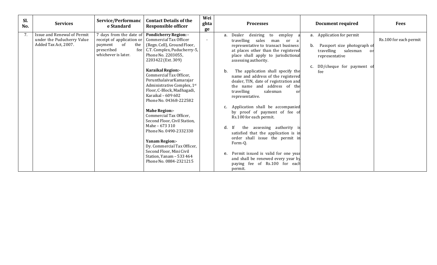| Sl.<br>No. | <b>Services</b>                                                                   | Service/Performanc<br>e Standard                                                                                  | <b>Contact Details of the</b><br><b>Responsible officer</b>                                                                                                                                 | Wei<br>ghta<br>ge        | <b>Processes</b>                                                                                                                                                                                                      | <b>Document required</b>                                                                                                                        | <b>Fees</b>            |
|------------|-----------------------------------------------------------------------------------|-------------------------------------------------------------------------------------------------------------------|---------------------------------------------------------------------------------------------------------------------------------------------------------------------------------------------|--------------------------|-----------------------------------------------------------------------------------------------------------------------------------------------------------------------------------------------------------------------|-------------------------------------------------------------------------------------------------------------------------------------------------|------------------------|
| 7.         | Issue and Renewal of Permit<br>under the Puducherry Value<br>Added Tax Act, 2007. | 7 days from the date of<br>receipt of application or<br>of<br>the<br>payment<br>prescribed<br>whichever is later. | <b>Pondicherry Region: -</b><br>Commercial Tax Officer<br>(Regn. Cell), Ground Floor,<br>fee   C.T. Complex, Puducherry-5,<br>Phone No. 2203055,<br>2203422 (Ext. 309)                      | $\overline{\phantom{a}}$ | employ<br>a. Dealer<br>desiring<br>to<br>travelling sales<br>man<br>or a<br>representative to transact business<br>at places other than the registered<br>place shall apply to jurisdictional<br>assessing authority. | a. Application for permit<br>Passport size photograph of<br>b.<br>travelling salesman<br>or<br>representative<br>DD/cheque for payment of<br>c. | Rs.100 for each permit |
|            |                                                                                   |                                                                                                                   | <b>Karaikal Region:-</b><br>Commercial Tax Officer,<br>PerunthalaivarKamarajar<br>Administrative Complex, 1st<br>Floor, C-Block, Madhagadi,<br>Karaikal - 609 602<br>Phone No. 04368-222582 |                          | The application shall specify the<br>b.<br>name and address of the registered<br>dealer, TIN, date of registration and<br>the name and address of the<br>travelling<br>salesman<br>or<br>representative.              | fee                                                                                                                                             |                        |
|            |                                                                                   |                                                                                                                   | <b>Mahe Region:-</b><br>Commercial Tax Officer,<br>Second Floor, Civil Station,<br>Mahe - 673 310                                                                                           |                          | Application shall be accompanied<br>by proof of payment of fee of<br>Rs.100 for each permit.                                                                                                                          |                                                                                                                                                 |                        |
|            |                                                                                   |                                                                                                                   | Phone No. 0490-2332330<br><b>Yanam Region:-</b><br>Dy. Commercial Tax Officer,<br>Second Floor, Mini Civil                                                                                  |                          | the assessing authority is<br>d.<br>- If<br>satisfied that the application is in<br>order shall issue the permit in<br>Form-Q.                                                                                        |                                                                                                                                                 |                        |
|            |                                                                                   |                                                                                                                   | Station, Yanam - 533 464<br>Phone No. 0884-2321215                                                                                                                                          |                          | e. Permit issued is valid for one year<br>and shall be renewed every year by<br>paying fee of Rs.100 for each<br>permit.                                                                                              |                                                                                                                                                 |                        |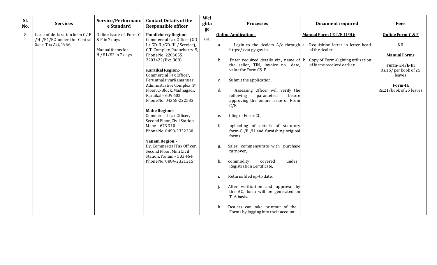| Sl.<br>No. | <b>Services</b>               | Service/Performanc<br>e Standard | <b>Contact Details of the</b><br><b>Responsible officer</b> | Wei<br>ghta<br>ge | <b>Processes</b>                                                                | <b>Document required</b>                                              | <b>Fees</b>                            |
|------------|-------------------------------|----------------------------------|-------------------------------------------------------------|-------------------|---------------------------------------------------------------------------------|-----------------------------------------------------------------------|----------------------------------------|
| 8.         | Issue of declaration form C/F | Online issue of Form C           | <b>Pondicherry Region: -</b>                                |                   | <b>Online Application:-</b>                                                     | Manual Form (E-I/E-II/H):                                             | <b>Online Form-C &amp; F</b>           |
|            | /H /E1/E2 under the Central   | & F in 7 days                    | Commercial Tax Officer (GD-                                 | 5%                |                                                                                 |                                                                       |                                        |
|            | Sales Tax Act, 1956           |                                  | I / GD-II / GD-III / Service),                              |                   | a.                                                                              | Login to the dealers A/c through a. Requisition letter in letter head | <b>NIL</b>                             |
|            |                               | Manual forms for                 | C.T. Complex, Puducherry-5,                                 |                   | https://vat.py.gov.in                                                           | of the dealer                                                         |                                        |
|            |                               | $H / E1 / E2$ in 7 days          | Phone No. 2203055,                                          |                   |                                                                                 |                                                                       | <b>Manual Forms</b>                    |
|            |                               |                                  | 2203422 (Ext. 309)                                          |                   | b.<br>Enter required details viz., name of b. Copy of Form-8 giving utilization |                                                                       |                                        |
|            |                               |                                  | <b>Karaikal Region:-</b>                                    |                   | the seller, TIN, invoice no., date,<br>value for Form C& F.                     | of forms received earlier                                             | Form-E-I/E-II:<br>Rs.15/per book of 25 |
|            |                               |                                  | Commercial Tax Officer,                                     |                   |                                                                                 |                                                                       | leaves                                 |
|            |                               |                                  | PerunthalaivarKamarajar                                     |                   | Submit the application.<br>c.                                                   |                                                                       |                                        |
|            |                               |                                  | Administrative Complex, 1st                                 |                   |                                                                                 |                                                                       | Form-H:                                |
|            |                               |                                  | Floor, C-Block, Madhagadi,                                  |                   | Assessing Officer will verify the<br>d.                                         |                                                                       | Rs.21/book of 25 leaves                |
|            |                               |                                  | Karaikal - 609 602                                          |                   | parameters<br>before<br>following                                               |                                                                       |                                        |
|            |                               |                                  | Phone No. 04368-222582                                      |                   | approving the online issue of Form                                              |                                                                       |                                        |
|            |                               |                                  |                                                             |                   | C/F.                                                                            |                                                                       |                                        |
|            |                               |                                  | <b>Mahe Region:-</b>                                        |                   |                                                                                 |                                                                       |                                        |
|            |                               |                                  | Commercial Tax Officer,                                     |                   | filing of Form-CC,<br>e.                                                        |                                                                       |                                        |
|            |                               |                                  | Second Floor, Civil Station,<br>Mahe - 673 310              |                   | f.<br>uploading of details of statutory                                         |                                                                       |                                        |
|            |                               |                                  | Phone No. 0490-2332330                                      |                   | form-C /F /H and furnishing original                                            |                                                                       |                                        |
|            |                               |                                  |                                                             |                   | forms                                                                           |                                                                       |                                        |
|            |                               |                                  | <b>Yanam Region:-</b>                                       |                   |                                                                                 |                                                                       |                                        |
|            |                               |                                  | Dy. Commercial Tax Officer,                                 |                   | Sales commensurate with purchase<br>g.                                          |                                                                       |                                        |
|            |                               |                                  | Second Floor, Mini Civil                                    |                   | turnover,                                                                       |                                                                       |                                        |
|            |                               |                                  | Station, Yanam - 533 464                                    |                   |                                                                                 |                                                                       |                                        |
|            |                               |                                  | Phone No. 0884-2321215                                      |                   | commodity<br>covered<br>h.<br>under                                             |                                                                       |                                        |
|            |                               |                                  |                                                             |                   | Registration Certificate,                                                       |                                                                       |                                        |
|            |                               |                                  |                                                             |                   | Returns filed up-to date,<br>i.                                                 |                                                                       |                                        |
|            |                               |                                  |                                                             |                   |                                                                                 |                                                                       |                                        |
|            |                               |                                  |                                                             |                   | After verification and approval by                                              |                                                                       |                                        |
|            |                               |                                  |                                                             |                   | the AO, form will be generated on                                               |                                                                       |                                        |
|            |                               |                                  |                                                             |                   | T+6 basis.                                                                      |                                                                       |                                        |
|            |                               |                                  |                                                             |                   |                                                                                 |                                                                       |                                        |
|            |                               |                                  |                                                             |                   | Dealers can take printout of the<br>k.                                          |                                                                       |                                        |
|            |                               |                                  |                                                             |                   | Forms by logging into their account.                                            |                                                                       |                                        |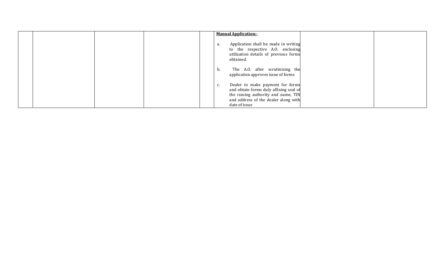|  |  | <b>Manual Application:-</b>                                                                                                                                                      |  |
|--|--|----------------------------------------------------------------------------------------------------------------------------------------------------------------------------------|--|
|  |  | Application shall be made in writing<br>а.<br>to the respective A.O. enclosing<br>utilization details of previous forms<br>obtained.                                             |  |
|  |  | The A.O. after scrutinizing the<br>b.<br>application approves issue of forms                                                                                                     |  |
|  |  | Dealer to make payment for forms<br>c.<br>and obtain forms duly affixing seal of<br>the issuing authority and name, TIN<br>and address of the dealer along with<br>date of issue |  |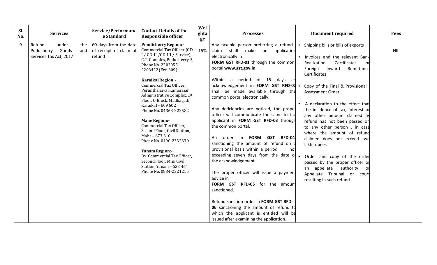| Sl.<br>No. | <b>Services</b>                                                             | Service/Performanc<br>e Standard                          | <b>Contact Details of the</b><br><b>Responsible officer</b>                                                                                                                                                                                                                                                                                                                                                                                                                                                                                                                                                                                      | Wei<br>ghta<br>ge | <b>Processes</b>                                                                                                                                                                                                                                                                                                                                                                                                                                                                                                                                                                                                                                                                                                                                                                                                                                                                                                                                | <b>Document required</b>                                                                                                                                                                                                                                                                                                                                                                                                                                                                                                                                                                                                           | <b>Fees</b> |
|------------|-----------------------------------------------------------------------------|-----------------------------------------------------------|--------------------------------------------------------------------------------------------------------------------------------------------------------------------------------------------------------------------------------------------------------------------------------------------------------------------------------------------------------------------------------------------------------------------------------------------------------------------------------------------------------------------------------------------------------------------------------------------------------------------------------------------------|-------------------|-------------------------------------------------------------------------------------------------------------------------------------------------------------------------------------------------------------------------------------------------------------------------------------------------------------------------------------------------------------------------------------------------------------------------------------------------------------------------------------------------------------------------------------------------------------------------------------------------------------------------------------------------------------------------------------------------------------------------------------------------------------------------------------------------------------------------------------------------------------------------------------------------------------------------------------------------|------------------------------------------------------------------------------------------------------------------------------------------------------------------------------------------------------------------------------------------------------------------------------------------------------------------------------------------------------------------------------------------------------------------------------------------------------------------------------------------------------------------------------------------------------------------------------------------------------------------------------------|-------------|
| 9.         | under<br>Refund<br>the<br>Puducherry Goods<br>and<br>Services Tax Act, 2017 | 60 days from the date<br>of receipt of claim of<br>refund | <b>Pondicherry Region: -</b><br>Commercial Tax Officer (GD-<br>I / GD-II / GD-III / Service),<br>C.T. Complex, Puducherry-5,<br>Phone No. 2203055,<br>2203422 (Ext. 309)<br><b>Karaikal Region:-</b><br>Commercial Tax Officer,<br>PerunthalaivarKamarajar<br>Administrative Complex, 1st<br>Floor, C-Block, Madhagadi,<br>Karaikal - 609 602<br>Phone No. 04368-222582<br><b>Mahe Region:-</b><br>Commercial Tax Officer,<br>Second Floor, Civil Station,<br>Mahe - 673 310<br>Phone No. 0490-2332330<br><b>Yanam Region:-</b><br>Dy. Commercial Tax Officer,<br>Second Floor, Mini Civil<br>Station, Yanam - 533 464<br>Phone No. 0884-2321215 | 15%               | Any taxable person preferring a refund<br>claim shall make an application<br>electronically in<br>FORM GST RFD-01 through the common<br>portal www.gst.gov.in<br>Within a period of 15 days an<br>acknowledgement in FORM GST RFD-02 .<br>shall be made available through the<br>common portal electronically.<br>Any deficiencies are noticed, the proper<br>officer will communicate the same to the<br>applicant in FORM GST RFD-03 through<br>the common portal.<br>order in FORM GST RFD-04,<br>An<br>sanctioning the amount of refund on a<br>provisional basis within a period<br>not<br>exceeding seven days from the date of<br>the acknowledgement<br>The proper officer will issue a payment<br>advice in<br>FORM GST RFD-05 for the amount<br>sanctioned.<br>Refund sanction order in FORM GST RFD-<br>06 sanctioning the amount of refund to<br>which the applicant is entitled will be<br>issued after examining the application. | Shipping bills or bills of exports<br>Invoices and the relevant Bank<br>Certificates<br>Realization<br>or<br>Foreign<br>Inward<br>Remittance<br>Certificates<br>Copy of the Final & Provisional<br>Assessment Order<br>A declaration to the effect that<br>the incidence of tax, interest or<br>any other amount claimed as<br>refund has not been passed on<br>to any other person, in case<br>where the amount of refund<br>claimed does not exceed two<br>lakh rupees<br>Order and copy of the order<br>passed by the proper officer or<br>an appellate authority or<br>Appellate Tribunal or court<br>resulting in such refund | <b>NIL</b>  |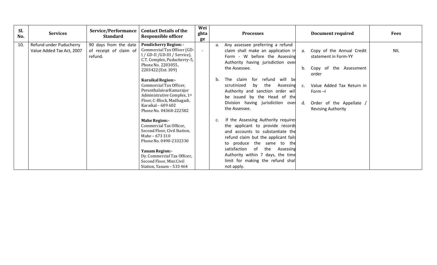| SI.<br>No. | <b>Services</b>                                      | Service/Performance<br><b>Standard</b>                     | <b>Contact Details of the</b><br><b>Responsible officer</b>                                                                                                                                                                                                                                                                                                             | Wei<br>ghta<br>ge        | <b>Processes</b>                                                                                                                                                                                                                                                                                                                                                                       |                      | <b>Document required</b>                                                                                                                                                                | <b>Fees</b> |
|------------|------------------------------------------------------|------------------------------------------------------------|-------------------------------------------------------------------------------------------------------------------------------------------------------------------------------------------------------------------------------------------------------------------------------------------------------------------------------------------------------------------------|--------------------------|----------------------------------------------------------------------------------------------------------------------------------------------------------------------------------------------------------------------------------------------------------------------------------------------------------------------------------------------------------------------------------------|----------------------|-----------------------------------------------------------------------------------------------------------------------------------------------------------------------------------------|-------------|
| 10.        | Refund under Puducherry<br>Value Added Tax Act, 2007 | 90 days from the date<br>of receipt of claim of<br>refund. | <b>Pondicherry Region: -</b><br>Commercial Tax Officer (GD-<br>I / GD-II / GD-III / Service),<br>C.T. Complex, Puducherry-5,<br>Phone No. 2203055,<br>2203422 (Ext. 309)<br><b>Karaikal Region:-</b><br>Commercial Tax Officer,<br>PerunthalaivarKamarajar<br>Administrative Complex, 1st<br>Floor, C-Block, Madhagadi,<br>Karaikal - 609 602<br>Phone No. 04368-222582 | $\overline{\phantom{a}}$ | Any assessee preferring a refund<br>a.<br>claim shall make an application in<br>Form - W before the Assessing<br>Authority having jurisdiction over<br>the Assessee.<br>The claim for refund<br>will be<br>$b_{1}$<br>scrutinized<br>the<br>Assessing<br>by<br>Authority and sanction order will<br>be issued by the Head of the<br>Division having jurisdiction over<br>the Assessee. | a.<br>b.<br>C.<br>d. | Copy of the Annual Credit<br>statement in Form-YY<br>Copy of the Assessment<br>order<br>Value Added Tax Return in<br>Form $-I$<br>Order of the Appellate /<br><b>Revising Authority</b> | <b>NIL</b>  |
|            |                                                      |                                                            | <b>Mahe Region:-</b><br>Commercial Tax Officer,<br>Second Floor, Civil Station,<br>Mahe - 673 310<br>Phone No. 0490-2332330<br><b>Yanam Region:-</b><br>Dy. Commercial Tax Officer,<br>Second Floor, Mini Civil<br>Station, Yanam - 533 464                                                                                                                             |                          | If the Assessing Authority requires<br>the applicant to provide records<br>and accounts to substantiate the<br>refund claim but the applicant fails<br>to produce the same to the<br>of<br>satisfaction<br>the<br>Assessing<br>Authority within 7 days, the time<br>limit for making the refund shall<br>not apply.                                                                    |                      |                                                                                                                                                                                         |             |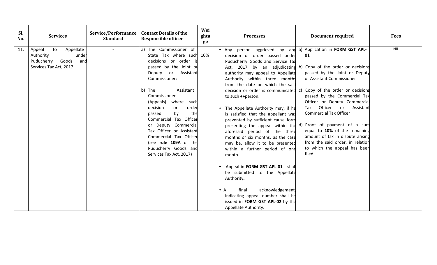| SI.<br>No. | <b>Services</b>                                                                                         | <b>Service/Performance</b><br><b>Standard</b> | <b>Contact Details of the</b><br><b>Responsible officer</b>                                                                                                                                                                                                                                                                                                                                                                                           | Wei<br>ghta<br>ge | <b>Processes</b>                                                                                                                                                                                                                                                                                                                                                                                                                                                                                                                                                                                                                                                                                                                                                                                                                                      | <b>Document required</b>                                                                                                                                                                                                                                                                                                                                                                                                                                                                    | Fees       |
|------------|---------------------------------------------------------------------------------------------------------|-----------------------------------------------|-------------------------------------------------------------------------------------------------------------------------------------------------------------------------------------------------------------------------------------------------------------------------------------------------------------------------------------------------------------------------------------------------------------------------------------------------------|-------------------|-------------------------------------------------------------------------------------------------------------------------------------------------------------------------------------------------------------------------------------------------------------------------------------------------------------------------------------------------------------------------------------------------------------------------------------------------------------------------------------------------------------------------------------------------------------------------------------------------------------------------------------------------------------------------------------------------------------------------------------------------------------------------------------------------------------------------------------------------------|---------------------------------------------------------------------------------------------------------------------------------------------------------------------------------------------------------------------------------------------------------------------------------------------------------------------------------------------------------------------------------------------------------------------------------------------------------------------------------------------|------------|
| 11.        | to<br>Appellate<br>Appeal<br>Authority<br>under<br>Puducherry<br>Goods<br>and<br>Services Tax Act, 2017 | $\sim$                                        | a) The Commissioner of<br>State Tax where such 10%<br>decisions or order is<br>passed by the Joint or<br>Deputy or Assistant<br>Commissioner;<br>b) The<br>Assistant<br>Commissioner<br>(Appeals)<br>where such<br>decision<br>order<br>or<br>by<br>passed<br>the<br>Commercial Tax Officer<br>or Deputy Commercial<br>Tax Officer or Assistant<br>Commercial Tax Officer<br>(see rule 109A of the<br>Puducherry Goods and<br>Services Tax Act, 2017) |                   | • Any person aggrieved by any a) Application in FORM GST APL-<br>decision or order passed under<br>Puducherry Goods and Service Tax<br>Act, 2017 by an adjudicating<br>authority may appeal to Appellate<br>Authority within three months<br>from the date on which the said<br>decision or order is communicated c)<br>to such ++person.<br>• The Appellate Authority may, if he<br>is satisfied that the appellant was<br>prevented by sufficient cause form<br>aforesaid period of the three<br>months or six months, as the case<br>may be, allow it to be presented<br>within a further period of one<br>month.<br>• Appeal in FORM GST APL-01 shall<br>be submitted to the Appellate<br>Authority.<br>acknowledgement,<br>final<br>$\bullet$ A<br>indicating appeal number shall be<br>issued in FORM GST APL-02 by the<br>Appellate Authority. | 01<br>b) Copy of the order or decisions<br>passed by the Joint or Deputy<br>or Assistant Commissioner<br>Copy of the order or decisions<br>passed by the Commercial Tax<br>Officer or Deputy Commercial<br>Tax Officer or<br>Assistant<br><b>Commercial Tax Officer</b><br>presenting the appeal within the d) Proof of payment of a sum<br>equal to 10% of the remaining<br>amount of tax in dispute arising<br>from the said order, in relation<br>to which the appeal has been<br>filed. | <b>NIL</b> |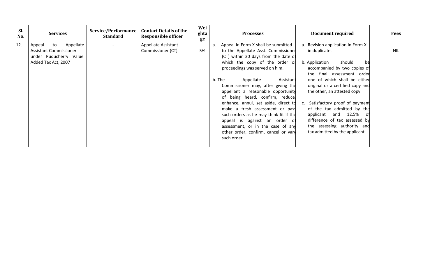| SI.<br>No. | <b>Services</b>                                                                                             | Service/Performance<br><b>Standard</b> | <b>Contact Details of the</b><br><b>Responsible officer</b> | Wei<br>ghta<br>ge | <b>Processes</b>                                                                                                                                                                                                                                                                                                                                                                                                                                                                                                                                                                                   | Document required                                                                                                                                                                                                                                                                                                                                                                                                                                       | <b>Fees</b> |
|------------|-------------------------------------------------------------------------------------------------------------|----------------------------------------|-------------------------------------------------------------|-------------------|----------------------------------------------------------------------------------------------------------------------------------------------------------------------------------------------------------------------------------------------------------------------------------------------------------------------------------------------------------------------------------------------------------------------------------------------------------------------------------------------------------------------------------------------------------------------------------------------------|---------------------------------------------------------------------------------------------------------------------------------------------------------------------------------------------------------------------------------------------------------------------------------------------------------------------------------------------------------------------------------------------------------------------------------------------------------|-------------|
| 12.        | Appellate<br>to<br>Appeal<br><b>Assistant Commissioner</b><br>under Puducherry Value<br>Added Tax Act, 2007 |                                        | <b>Appellate Assistant</b><br>Commissioner (CT)             | 5%                | Appeal in Form X shall be submitted<br>a.<br>to the Appellate Asst. Commissioner<br>(CT) within 30 days from the date of<br>which the copy of the order or<br>proceedings was served on him.<br>b. The<br>Assistant<br>Appellate<br>Commissioner may, after giving the<br>appellant a reasonable opportunity<br>of being heard, confirm, reduce,<br>enhance, annul, set aside, direct to<br>make a fresh assessment or pass<br>such orders as he may think fit if the<br>appeal is against an order of<br>assessment, or in the case of any<br>other order, confirm, cancel or vary<br>such order. | a. Revision application in Form X<br>in duplicate.<br>should<br>b. Application<br>be<br>accompanied by two copies of<br>the final assessment order<br>one of which shall be either<br>original or a certified copy and<br>the other, an attested copy.<br>c. Satisfactory proof of payment<br>of the tax admitted by the<br>applicant and 12.5%<br>-01<br>difference of tax assessed by<br>the assessing authority and<br>tax admitted by the applicant | <b>NIL</b>  |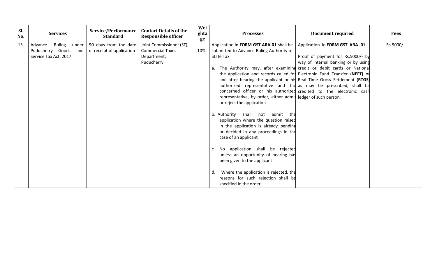| 90 days from the date<br>13.<br>Ruling<br>Joint Commissioner (ST),<br>Application in FORM GST ARA-01 shall be<br>Application in FORM GST ARA -01<br>Advance<br>under<br>Puducherry Goods and<br><b>Commercial Taxes</b><br>10%<br>submitted to Advance Ruling Authority of<br>of receipt of application<br>Proof of payment for Rs.5000/- by<br>Service Tax Act, 2017<br><b>State Tax</b><br>Department,<br>Puducherry<br>way of internal banking or by using<br>The Authority may, after examining credit or debit cards or National<br>а. | <b>Fees</b> |
|---------------------------------------------------------------------------------------------------------------------------------------------------------------------------------------------------------------------------------------------------------------------------------------------------------------------------------------------------------------------------------------------------------------------------------------------------------------------------------------------------------------------------------------------|-------------|
|                                                                                                                                                                                                                                                                                                                                                                                                                                                                                                                                             | Rs.5000/-   |
|                                                                                                                                                                                                                                                                                                                                                                                                                                                                                                                                             |             |
|                                                                                                                                                                                                                                                                                                                                                                                                                                                                                                                                             |             |
|                                                                                                                                                                                                                                                                                                                                                                                                                                                                                                                                             |             |
|                                                                                                                                                                                                                                                                                                                                                                                                                                                                                                                                             |             |
| the application and records called for Electronic Fund Transfer (NEFT) or                                                                                                                                                                                                                                                                                                                                                                                                                                                                   |             |
| and after hearing the applicant or his Real Time Gross Settlement (RTGS)                                                                                                                                                                                                                                                                                                                                                                                                                                                                    |             |
| authorized representative and the as may be prescribed, shall be                                                                                                                                                                                                                                                                                                                                                                                                                                                                            |             |
| concerned officer or his authorized credited to the electronic cash                                                                                                                                                                                                                                                                                                                                                                                                                                                                         |             |
| representative, by order, either admit ledger of such person.                                                                                                                                                                                                                                                                                                                                                                                                                                                                               |             |
| or reject the application                                                                                                                                                                                                                                                                                                                                                                                                                                                                                                                   |             |
| b. Authority shall not admit the                                                                                                                                                                                                                                                                                                                                                                                                                                                                                                            |             |
| application where the question raised                                                                                                                                                                                                                                                                                                                                                                                                                                                                                                       |             |
| in the application is already pending                                                                                                                                                                                                                                                                                                                                                                                                                                                                                                       |             |
| or decided in any proceedings in the                                                                                                                                                                                                                                                                                                                                                                                                                                                                                                        |             |
| case of an applicant                                                                                                                                                                                                                                                                                                                                                                                                                                                                                                                        |             |
| No application shall be rejected                                                                                                                                                                                                                                                                                                                                                                                                                                                                                                            |             |
| unless an opportunity of hearing has                                                                                                                                                                                                                                                                                                                                                                                                                                                                                                        |             |
| been given to the applicant                                                                                                                                                                                                                                                                                                                                                                                                                                                                                                                 |             |
| Where the application is rejected, the<br>d.                                                                                                                                                                                                                                                                                                                                                                                                                                                                                                |             |
| reasons for such rejection shall be                                                                                                                                                                                                                                                                                                                                                                                                                                                                                                         |             |
| specified in the order                                                                                                                                                                                                                                                                                                                                                                                                                                                                                                                      |             |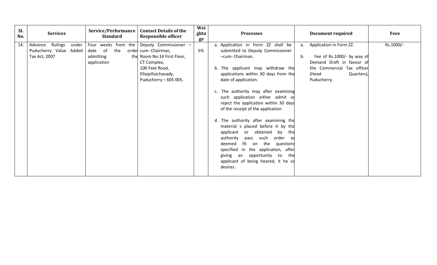| SI.<br>No. | <b>Services</b>                                                        | <b>Service/Performance</b><br><b>Standard</b>                        | <b>Contact Details of the</b><br><b>Responsible officer</b>                                                                                                   | Wei<br>ghta<br>ge | <b>Processes</b>                                                                                                                                                                                                                                                                                                                                                                                                                                                                                                                                                                                                                                                                     | <b>Document required</b>                                                                                                                                       | <b>Fees</b> |
|------------|------------------------------------------------------------------------|----------------------------------------------------------------------|---------------------------------------------------------------------------------------------------------------------------------------------------------------|-------------------|--------------------------------------------------------------------------------------------------------------------------------------------------------------------------------------------------------------------------------------------------------------------------------------------------------------------------------------------------------------------------------------------------------------------------------------------------------------------------------------------------------------------------------------------------------------------------------------------------------------------------------------------------------------------------------------|----------------------------------------------------------------------------------------------------------------------------------------------------------------|-------------|
| 14.        | Rulings<br>under<br>Advance<br>Puducherry Value Added<br>Tax Act, 2007 | Four weeks from the<br>of<br>the<br>date<br>admitting<br>application | Deputy Commissioner -<br>order cum- Chairman,<br>the Room No.14 First Floor,<br>CT Complex,<br>100 Feet Road,<br>Ellaipillaichavady,<br>Puducherry - 605 005. | 5%                | a. Application in Form ZZ shall be<br>submitted to Deputy Commissioner<br>-cum- Chairman.<br>b. The applicant may withdraw the<br>applications within 30 days from the<br>date of application.<br>c. The authority may after examining<br>such application either admit or<br>reject the application within 30 days<br>of the receipt of the application<br>d. The authority after examining the<br>material s placed before it by the<br>applicant or obtained by<br>the<br>authority<br>pass such order<br>as<br>fit on the<br>deemed<br>questions<br>specified in the application, after<br>opportunity to<br>giving an<br>the<br>applicant of being heared, it he so<br>desires. | a. Application in Form ZZ.<br>Fee of Rs.1000/- by way of<br>b.<br>Demand Draft in favour of<br>the Commercial Tax officer<br>(Head<br>Quarters)<br>Puducherry. | Rs.1000/-   |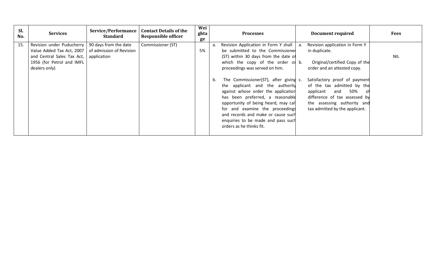| Sl.<br>No. | <b>Services</b>                                                          | Service/Performance<br><b>Standard</b>            | <b>Contact Details of the</b><br><b>Responsible officer</b> | Wei<br>ghta<br>ge | <b>Processes</b>                                                                                                                                                                                                                                                                                                                             |    | <b>Document required</b>                                                                                                                                                                 | <b>Fees</b> |
|------------|--------------------------------------------------------------------------|---------------------------------------------------|-------------------------------------------------------------|-------------------|----------------------------------------------------------------------------------------------------------------------------------------------------------------------------------------------------------------------------------------------------------------------------------------------------------------------------------------------|----|------------------------------------------------------------------------------------------------------------------------------------------------------------------------------------------|-------------|
| 15.        | Revision under Puducherry<br>Value Added Tax Act, 2007                   | 90 days from the date<br>of admission of Revision | Commissioner (ST)                                           | 5%                | Revision Application in Form Y shall<br>a.<br>be submitted to the Commissioner                                                                                                                                                                                                                                                               | a. | Revision application in Form Y<br>in duplicate.                                                                                                                                          |             |
|            | and Central Sales Tax Act,<br>1956 (for Petrol and IMFL<br>dealers only) | application                                       |                                                             |                   | (ST) within 30 days from the date of<br>which the copy of the order or b.<br>proceedings was served on him.                                                                                                                                                                                                                                  |    | Original/certified Copy of the<br>order and an attested copy.                                                                                                                            | <b>NIL</b>  |
|            |                                                                          |                                                   |                                                             |                   | The Commissioner(ST), after giving c.<br>b.<br>the applicant and the authority<br>against whose order the application<br>has been preferred, a reasonable<br>opportunity of being heard, may call<br>for and examine the proceedings<br>and records and make or cause such<br>enquiries to be made and pass such<br>orders as he thinks fit. |    | Satisfactory proof of payment<br>of the tax admitted by the<br>50%<br>applicant<br>and<br>difference of tax assessed by<br>the assessing authority and<br>tax admitted by the applicant. |             |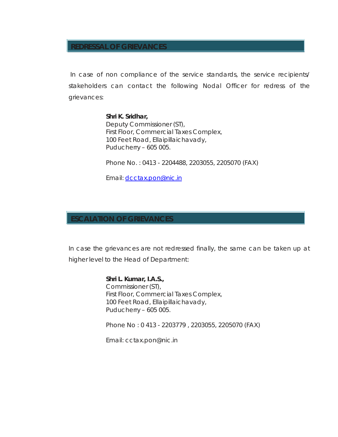### **REDRESSAL OF GRIEVANCES**

In case of non compliance of the service standards, the service recipients/ stakeholders can contact the following Nodal Officer for redress of the grievances:

#### **Shri K. Sridhar,**

Deputy Commissioner (ST), First Floor, Commercial Taxes Complex, 100 Feet Road, Ellaipillaichavady, Puducherry – 605 005.

Phone No. : 0413 - 2204488, 2203055, 2205070 (FAX)

Email: dcctax.pon@nic.in

#### **ESCALATION OF GRIEVANCES**

In case the grievances are not redressed finally, the same can be taken up at higher level to the Head of Department:

> **Shri L. Kumar, I.A.S.,** Commissioner (ST), First Floor, Commercial Taxes Complex, 100 Feet Road, Ellaipillaichavady, Puducherry – 605 005.

Phone No : 0 413 - 2203779 , 2203055, 2205070 (FAX)

Email: cctax.pon@nic.in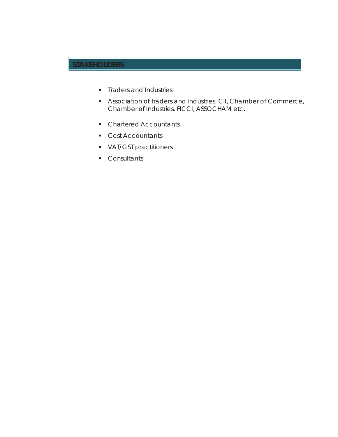# **STAKEHOLDERS**

- **F** Traders and Industries
- Association of traders and industries, CII, Chamber of Commerce, Chamber of Industries. FICCI, ASSOCHAM etc.
- **Chartered Accountants**
- **Cost Accountants**
- **VAT/GST practitioners**
- Consultants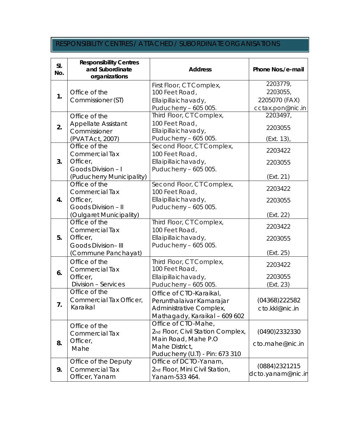# RESPONSIBILITY CENTRES / ATTACHED / SUBORDINATE ORGANISATIONS

| SI.<br>No. | <b>Responsibility Centres</b><br>and Subordinate<br>organizations | <b>Address</b>                                       | Phone Nos./e-mail |
|------------|-------------------------------------------------------------------|------------------------------------------------------|-------------------|
|            |                                                                   | First Floor, CT Complex,                             | 2203779,          |
|            | Office of the                                                     | 100 Feet Road,                                       | 2203055,          |
| 1.         | Commissioner (ST)                                                 | Ellaipillaichavady,                                  | 2205070 (FAX)     |
|            |                                                                   | Puducherry - 605 005.                                | cctax.pon@nic.in  |
|            | Office of the                                                     | Third Floor, CT Complex,                             | 2203497,          |
| 2.         | <b>Appellate Assistant</b>                                        | 100 Feet Road,                                       | 2203055           |
|            | Commissioner                                                      | Ellaipillaichavady,                                  |                   |
|            | (PVAT Act, 2007)                                                  | Puducherry - 605 005.                                | (Ext. 13),        |
|            | Office of the                                                     | Second Floor, CT Complex,                            | 2203422           |
|            | <b>Commercial Tax</b>                                             | 100 Feet Road,                                       |                   |
| 3.         | Officer,                                                          | Ellaipillaichavady,                                  | 2203055           |
|            | Goods Division - I                                                | Puducherry - 605 005.                                |                   |
|            | (Puducherry Municipality)                                         |                                                      | (Ext. 21)         |
|            | Office of the                                                     | Second Floor, CT Complex,                            | 2203422           |
|            | <b>Commercial Tax</b>                                             | 100 Feet Road,                                       |                   |
| 4.         | Officer,                                                          | Ellaipillaichavady,                                  | 2203055           |
|            | Goods Division - II                                               | Puducherry - 605 005.                                |                   |
|            | (Oulgaret Municipality)<br>Office of the                          |                                                      | (Ext. 22)         |
|            |                                                                   | Third Floor, CT Complex,                             | 2203422           |
| 5.         | <b>Commercial Tax</b><br>Officer,                                 | 100 Feet Road,                                       |                   |
|            | <b>Goods Division-III</b>                                         | Ellaipillaichavady,<br>Puducherry - 605 005.         | 2203055           |
|            | (Commune Panchayat)                                               |                                                      | (Ext. 25)         |
|            |                                                                   |                                                      |                   |
|            | Office of the                                                     | Third Floor, CT Complex,                             | 2203422           |
| 6.         | <b>Commercial Tax</b>                                             | 100 Feet Road,                                       | 2203055           |
|            | Officer,<br>Division - Services                                   | Ellaipillaichavady,                                  |                   |
|            | Office of the                                                     | Puducherry - 605 005.                                | (Ext. 23)         |
|            | Commercial Tax Officer,                                           | Office of CTO-Karaikal,                              | (04368)222582     |
| 7.         | Karaikal                                                          | Perunthalaivar Kamarajar                             |                   |
|            |                                                                   | Administrative Complex,                              | cto.kkl@nic.in    |
|            |                                                                   | Mathagady, Karaikal - 609 602<br>Office of CTO-Mahe, |                   |
|            | Office of the                                                     | 2nd Floor, Civil Station Complex,                    | (0490)2332330     |
|            | <b>Commercial Tax</b>                                             | Main Road, Mahe P.O                                  |                   |
| 8.         | Officer,                                                          | Mahe District,                                       | cto.mahe@nic.in   |
|            | Mahe                                                              | Puducherry (U.T) - Pin: 673 310                      |                   |
|            | Office of the Deputy                                              | Office of DCTO-Yanam,                                |                   |
| 9.         | <b>Commercial Tax</b>                                             | 2nd Floor, Mini Civil Station,                       | (0884) 2321 215   |
|            | Officer, Yanam                                                    | Yanam-533 464.                                       | dcto.yanam@nic.in |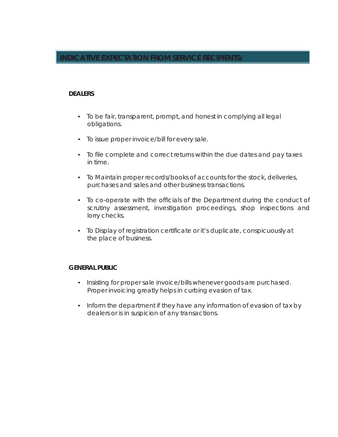### **INDICATIVE EXPECTATION FROM SERVICE RECIPIENTS:**

#### **DEALERS**

- To be fair, transparent, prompt, and honest in complying all legal obligations.
- To issue proper invoice/bill for every sale.
- To file complete and correct returns within the due dates and pay taxes in time.
- To Maintain proper records/books of accounts for the stock, deliveries, purchases and sales and other business transactions.
- To co-operate with the officials of the Department during the conduct of scrutiny assessment, investigation proceedings, shop inspections and lorry checks.
- To Display of registration certificate or it's duplicate, conspicuously at the place of business.

#### **GENERAL PUBLIC**

- Insisting for proper sale invoice/bills whenever goods are purchased. Proper invoicing greatly helps in curbing evasion of tax.
- Inform the department if they have any information of evasion of tax by dealers or is in suspicion of any transactions.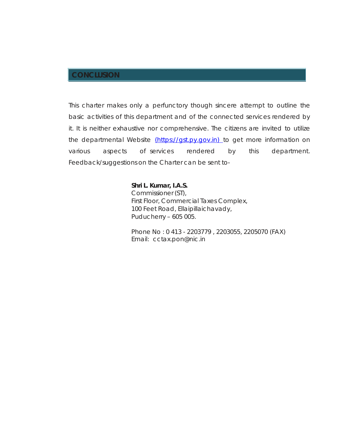# **CONCLUSION**

This charter makes only a perfunctory though sincere attempt to outline the basic activities of this department and of the connected services rendered by it. It is neither exhaustive nor comprehensive. The citizens are invited to utilize the departmental Website (https://gst.py.gov.in) to get more information on various aspects of services rendered by this department. Feedback/suggestions on the Charter can be sent to-

#### **Shri L. Kumar, I.A.S.** Commissioner (ST),

First Floor, Commercial Taxes Complex, 100 Feet Road, Ellaipillaichavady, Puducherry – 605 005.

Phone No : 0 413 - 2203779 , 2203055, 2205070 (FAX) Email: cctax.pon@nic.in